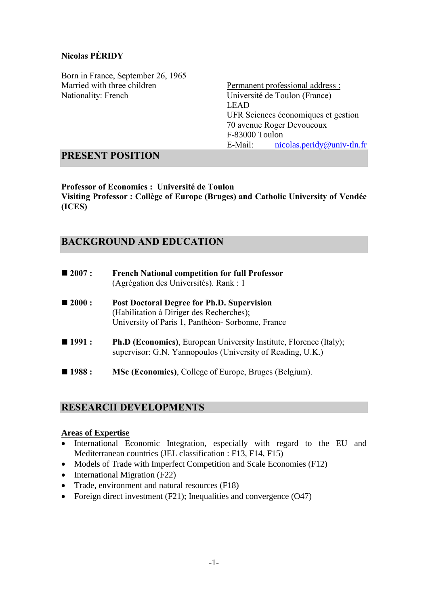## **Nicolas PÉRIDY**

Born in France, September 26, 1965 Married with three children Nationality: French

Permanent professional address : Université de Toulon (France) LEAD UFR Sciences économiques et gestion 70 avenue Roger Devoucoux F-83000 Toulon E-Mail: [nicolas.peridy@univ-tln.fr](mailto:nicolas.peridy@univ-tln.fr)

## **PRESENT POSITION**

**Professor of Economics : Université de Toulon Visiting Professor : Collège of Europe (Bruges) and Catholic University of Vendée (ICES)**

## **BACKGROUND AND EDUCATION**

| $\blacksquare$ 2007 : | <b>French National competition for full Professor</b><br>(Agrégation des Universités). Rank : 1                                                   |
|-----------------------|---------------------------------------------------------------------------------------------------------------------------------------------------|
| $\blacksquare$ 2000 : | <b>Post Doctoral Degree for Ph.D. Supervision</b><br>(Habilitation à Diriger des Recherches);<br>University of Paris 1, Panthéon-Sorbonne, France |
| $\blacksquare$ 1991 : | <b>Ph.D (Economics)</b> , European University Institute, Florence (Italy);<br>supervisor: G.N. Yannopoulos (University of Reading, U.K.)          |
| $\blacksquare$ 1988 : | <b>MSc (Economics), College of Europe, Bruges (Belgium).</b>                                                                                      |

## **RESEARCH DEVELOPMENTS**

#### **Areas of Expertise**

- International Economic Integration, especially with regard to the EU and Mediterranean countries (JEL classification : F13, F14, F15)
- Models of Trade with Imperfect Competition and Scale Economies (F12)
- International Migration (F22)
- Trade, environment and natural resources (F18)
- Foreign direct investment  $(F21)$ ; Inequalities and convergence  $(O47)$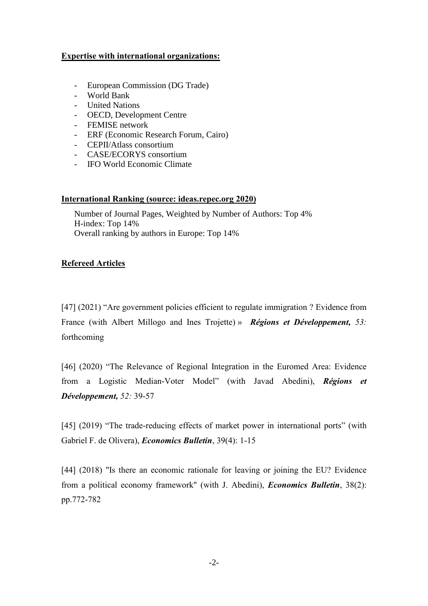### **Expertise with international organizations:**

- European Commission (DG Trade)
- World Bank
- United Nations
- OECD, Development Centre
- FEMISE network
- ERF (Economic Research Forum, Cairo)
- CEPII/Atlass consortium
- CASE/ECORYS consortium
- IFO World Economic Climate

#### **International Ranking (source: ideas.repec.org 2020)**

Number of Journal Pages, Weighted by Number of Authors: Top 4% H-index: Top 14% Overall ranking by authors in Europe: Top 14%

### **Refereed Articles**

[47] (2021) "Are government policies efficient to regulate immigration ? Evidence from France (with Albert Millogo and Ines Trojette) » *Régions et Développement, 53:*  forthcoming

[46] (2020) "The Relevance of Regional Integration in the Euromed Area: Evidence from a Logistic Median-Voter Model" (with Javad Abedini), *Régions et Développement, 52:* 39-57

[45] (2019) "The trade-reducing effects of market power in international ports" (with Gabriel F. de Olivera), *Economics Bulletin*, 39(4): 1-15

[44] (2018) "Is there an economic rationale for leaving or joining the EU? Evidence from a political economy framework" (with J. Abedini), *Economics Bulletin*, 38(2): pp.772-782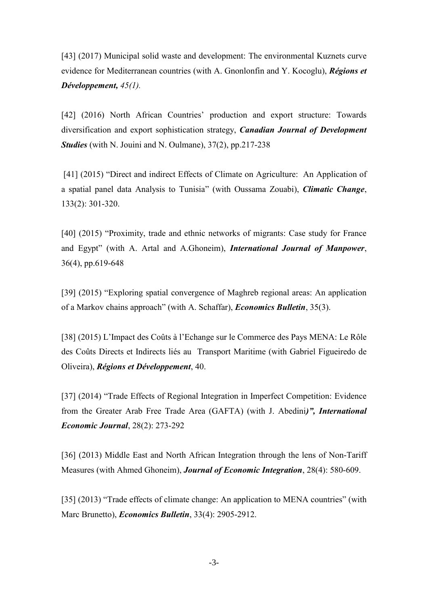[43] (2017) Municipal solid waste and development: The environmental Kuznets curve evidence for Mediterranean countries (with A. Gnonlonfin and Y. Kocoglu), *Régions et Développement, 45(1).*

[42] (2016) North African Countries' production and export structure: Towards diversification and export sophistication strategy, *Canadian Journal of Development Studies* (with N. Jouini and N. Oulmane), 37(2), pp.217-238

[41] (2015) "Direct and indirect Effects of Climate on Agriculture: An Application of a spatial panel data Analysis to Tunisia" (with Oussama Zouabi), *Climatic Change*, 133(2): 301-320.

[40] (2015) "Proximity, trade and ethnic networks of migrants: Case study for France and Egypt" (with A. Artal and A.Ghoneim), *International Journal of Manpower*, 36(4), pp.619-648

[39] (2015) "Exploring spatial convergence of Maghreb regional areas: An application of a Markov chains approach" (with A. Schaffar), *Economics Bulletin*, 35(3).

[38] (2015) L'Impact des Coûts à l'Echange sur le Commerce des Pays MENA: Le Rôle des Coûts Directs et Indirects liés au Transport Maritime (with Gabriel Figueiredo de Oliveira), *Régions et Développement*, 40.

[37] (2014) "Trade Effects of Regional Integration in Imperfect Competition: Evidence from the Greater Arab Free Trade Area (GAFTA) (with J. Abedini*)", International Economic Journal*, 28(2): 273-292

[36] (2013) Middle East and North African Integration through the lens of Non-Tariff Measures (with Ahmed Ghoneim), *Journal of Economic Integration*, 28(4): 580-609.

[35] (2013) "Trade effects of climate change: An application to MENA countries" (with Marc Brunetto), *Economics Bulletin*, 33(4): 2905-2912.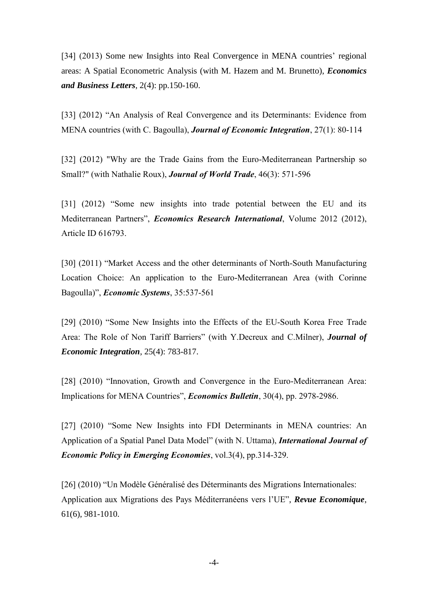[34] (2013) Some new Insights into Real Convergence in MENA countries' regional areas: A Spatial Econometric Analysis (with M. Hazem and M. Brunetto), *Economics and Business Letters*, 2(4): pp.150-160.

[33] (2012) "An Analysis of Real Convergence and its Determinants: Evidence from MENA countries (with C. Bagoulla), *Journal of Economic Integration*, 27(1): 80-114

[32] (2012) "Why are the Trade Gains from the Euro-Mediterranean Partnership so Small?" (with Nathalie Roux), *Journal of World Trade*, 46(3): 571-596

[31] (2012) "Some new insights into trade potential between the EU and its Mediterranean Partners", *Economics Research International*, Volume 2012 (2012), Article ID 616793.

[30] (2011) "Market Access and the other determinants of North-South Manufacturing Location Choice: An application to the Euro-Mediterranean Area (with Corinne Bagoulla)", *Economic Systems*, 35:537-561

[29] (2010) "Some New Insights into the Effects of the EU-South Korea Free Trade Area: The Role of Non Tariff Barriers" (with Y.Decreux and C.Milner), *Journal of Economic Integration*, 25(4): 783-817.

[28] (2010) "Innovation, Growth and Convergence in the Euro-Mediterranean Area: Implications for MENA Countries", *Economics Bulletin*, 30(4), pp. 2978-2986.

[27] (2010) "Some New Insights into FDI Determinants in MENA countries: An Application of a Spatial Panel Data Model" (with N. Uttama), *International Journal of Economic Policy in Emerging Economies*, vol.3(4), pp.314-329.

[26] (2010) "Un Modèle Généralisé des Déterminants des Migrations Internationales: Application aux Migrations des Pays Méditerranéens vers l'UE", *Revue Economique*, 61(6), 981-1010.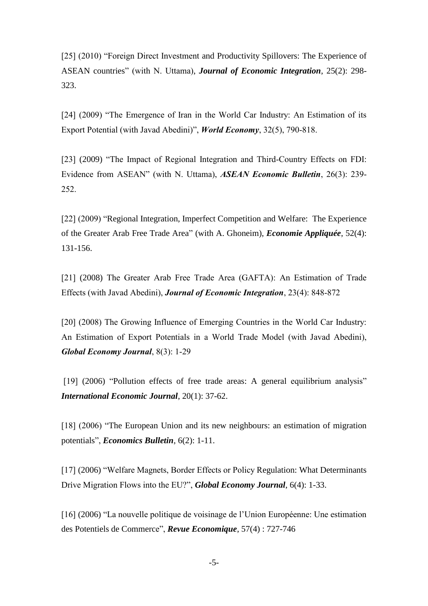[25] (2010) "Foreign Direct Investment and Productivity Spillovers: The Experience of ASEAN countries" (with N. Uttama), *Journal of Economic Integration*, 25(2): 298- 323.

[24] (2009) "The Emergence of Iran in the World Car Industry: An Estimation of its Export Potential (with Javad Abedini)", *World Economy*, 32(5), 790-818.

[23] (2009) "The Impact of Regional Integration and Third-Country Effects on FDI: Evidence from ASEAN" (with N. Uttama), *ASEAN Economic Bulletin*, 26(3): 239- 252.

[22] (2009) "Regional Integration, Imperfect Competition and Welfare: The Experience of the Greater Arab Free Trade Area" (with A. Ghoneim), *Economie Appliquée*, 52(4): 131-156.

[21] (2008) The Greater Arab Free Trade Area (GAFTA): An Estimation of Trade Effects (with Javad Abedini), *Journal of Economic Integration*, 23(4): 848-872

[20] (2008) The Growing Influence of Emerging Countries in the World Car Industry: An Estimation of Export Potentials in a World Trade Model (with Javad Abedini), *Global Economy Journal*, 8(3): 1-29

[19] (2006) "Pollution effects of free trade areas: A general equilibrium analysis" *International Economic Journal*, 20(1): 37-62.

[18] (2006) "The European Union and its new neighbours: an estimation of migration potentials", *Economics Bulletin*, 6(2): 1-11.

[17] (2006) "Welfare Magnets, Border Effects or Policy Regulation: What Determinants Drive Migration Flows into the EU?", *Global Economy Journal*, 6(4): 1-33.

[16] (2006) "La nouvelle politique de voisinage de l'Union Européenne: Une estimation des Potentiels de Commerce", *Revue Economique*, 57(4) : 727-746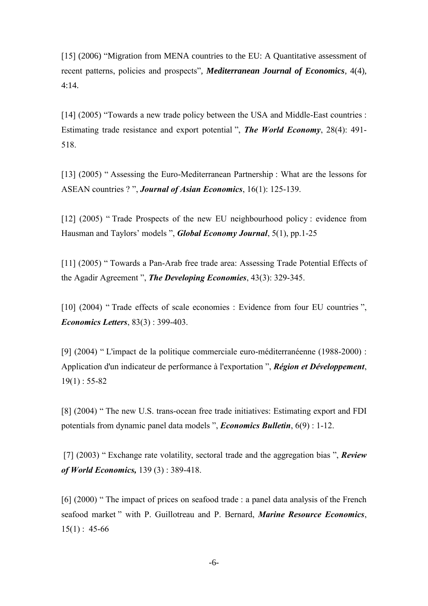[15] (2006) "Migration from MENA countries to the EU: A Quantitative assessment of recent patterns, policies and prospects", *Mediterranean Journal of Economics*, 4(4), 4:14.

[14] (2005) "Towards a new trade policy between the USA and Middle-East countries : Estimating trade resistance and export potential ", *The World Economy*, 28(4): 491- 518.

[13] (2005) " Assessing the Euro-Mediterranean Partnership : What are the lessons for ASEAN countries ? ", *Journal of Asian Economics*, 16(1): 125-139.

[12] (2005) "Trade Prospects of the new EU neighbourhood policy : evidence from Hausman and Taylors' models ", *Global Economy Journal*, 5(1), pp.1-25

[11] (2005) " Towards a Pan-Arab free trade area: Assessing Trade Potential Effects of the Agadir Agreement ", *The Developing Economies*, 43(3): 329-345.

[10] (2004) " Trade effects of scale economies : Evidence from four EU countries ", *Economics Letters*, 83(3) : 399-403.

[9] (2004) " L'impact de la politique commerciale euro-méditerranéenne (1988-2000) : Application d'un indicateur de performance à l'exportation ", *Région et Développement*,  $19(1)$ : 55-82

[8] (2004) " The new U.S. trans-ocean free trade initiatives: Estimating export and FDI potentials from dynamic panel data models ", *Economics Bulletin*, 6(9) : 1-12.

[7] (2003) " Exchange rate volatility, sectoral trade and the aggregation bias ", *Review of World Economics,* 139 (3) : 389-418.

[6] (2000) " The impact of prices on seafood trade : a panel data analysis of the French seafood market " with P. Guillotreau and P. Bernard, *Marine Resource Economics*,  $15(1)$ : 45-66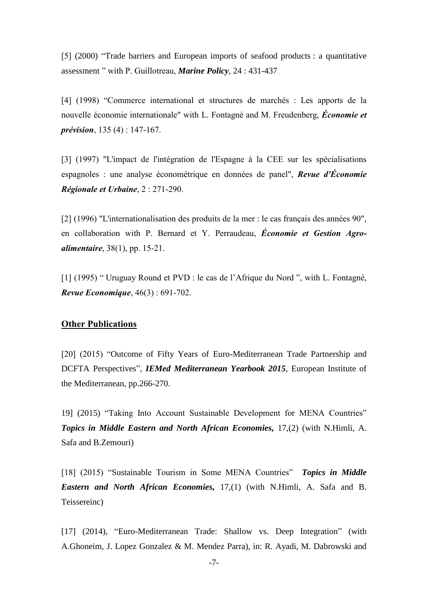[5] (2000) "Trade barriers and European imports of seafood products : a quantitative assessment " with P. Guillotreau, *Marine Policy*, 24 : 431-437

[4] (1998) "Commerce international et structures de marchés : Les apports de la nouvelle économie internationale" with L. Fontagné and M. Freudenberg, *Économie et prévision*, 135 (4) : 147-167.

[3] (1997) "L'impact de l'intégration de l'Espagne à la CEE sur les spécialisations espagnoles : une analyse économétrique en données de panel", *Revue d'Économie Régionale et Urbaine*, 2 : 271-290.

[2] (1996) "L'internationalisation des produits de la mer : le cas français des années 90", en collaboration with P. Bernard et Y. Perraudeau, *Économie et Gestion Agroalimentaire*, 38(1), pp. 15-21.

[1] (1995) " Uruguay Round et PVD : le cas de l'Afrique du Nord ", with L. Fontagné, *Revue Economique*, 46(3) : 691-702.

#### **Other Publications**

[20] (2015) "Outcome of Fifty Years of Euro-Mediterranean Trade Partnership and DCFTA Perspectives", *IEMed Mediterranean Yearbook 2015*, European Institute of the Mediterranean, pp.266-270.

19] (2015) "Taking Into Account Sustainable Development for MENA Countries" *Topics in Middle Eastern and North African Economies,* 17,(2) (with N.Himli, A. Safa and B.Zemouri)

[18] (2015) "Sustainable Tourism in Some MENA Countries" *Topics in Middle Eastern and North African Economies,* 17,(1) (with N.Himli, A. Safa and B. Teissereinc)

[17] (2014), "Euro-Mediterranean Trade: Shallow vs. Deep Integration" (with A.Ghoneim, J. Lopez Gonzalez & M. Mendez Parra), in: R. Ayadi, M. Dabrowski and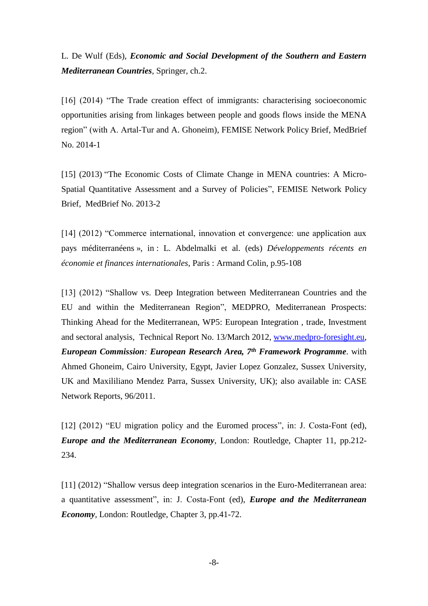L. De Wulf (Eds), *Economic and Social Development of the Southern and Eastern Mediterranean Countries,* Springer*,* ch.2.

[16] (2014) "The Trade creation effect of immigrants: characterising socioeconomic opportunities arising from linkages between people and goods flows inside the MENA region" (with A. Artal-Tur and A. Ghoneim), FEMISE Network Policy Brief, MedBrief No. 2014-1

[15] (2013) "The Economic Costs of Climate Change in MENA countries: A Micro-Spatial Quantitative Assessment and a Survey of Policies", FEMISE Network Policy Brief, MedBrief No. 2013-2

[14] (2012) "Commerce international, innovation et convergence: une application aux pays méditerranéens », in : L. Abdelmalki et al. (eds) *Développements récents en économie et finances internationales*, Paris : Armand Colin, p.95-108

[13] (2012) "Shallow vs. Deep Integration between Mediterranean Countries and the EU and within the Mediterranean Region", MEDPRO, Mediterranean Prospects: Thinking Ahead for the Mediterranean, WP5: European Integration , trade, Investment and sectoral analysis, Technical Report No. 13/March 2012, [www.medpro-foresight.eu,](http://www.medpro-foresight.eu/) *European Commission: European Research Area, 7th Framework Programme*. with Ahmed Ghoneim, Cairo University, Egypt, Javier Lopez Gonzalez, Sussex University, UK and Maxililiano Mendez Parra, Sussex University, UK); also available in: CASE Network Reports, 96/2011.

[12] (2012) "EU migration policy and the Euromed process", in: J. Costa-Font (ed), *Europe and the Mediterranean Economy*, London: Routledge, Chapter 11, pp.212- 234.

[11] (2012) "Shallow versus deep integration scenarios in the Euro-Mediterranean area: a quantitative assessment", in: J. Costa-Font (ed), *Europe and the Mediterranean Economy*, London: Routledge, Chapter 3, pp.41-72.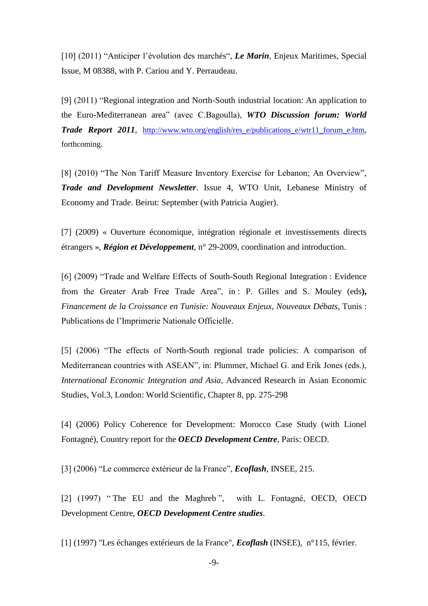[10] (2011) "Anticiper l'évolution des marchés", *Le Marin*, Enjeux Maritimes, Special Issue, M 08388, with P. Cariou and Y. Perraudeau.

[9] (2011) "Regional integration and North-South industrial location: An application to the Euro-Mediterranean area" (avec C.Bagoulla), *WTO Discussion forum: World Trade Report 2011*, [http://www.wto.org/english/res\\_e/publications\\_e/wtr11\\_forum\\_e.htm,](http://www.wto.org/english/res_e/publications_e/wtr11_forum_e.htm) forthcoming.

[8] (2010) "The Non Tariff Measure Inventory Exercise for Lebanon; An Overview", *Trade and Development Newsletter*. Issue 4, WTO Unit, Lebanese Ministry of Economy and Trade. Beirut: September (with Patricia Augier).

[7] (2009) « Ouverture économique, intégration régionale et investissements directs étrangers », *Région et Développement*, n° 29-2009, coordination and introduction.

[6] (2009) "Trade and Welfare Effects of South-South Regional Integration : Evidence from the Greater Arab Free Trade Area", in : P. Gilles and S. Mouley (eds**),**  *Financement de la Croissance en Tunisie: Nouveaux Enjeux, Nouveaux Débats*, Tunis : Publications de l'Imprimerie Nationale Officielle.

[5] (2006) "The effects of North-South regional trade policies: A comparison of Mediterranean countries with ASEAN", in: Plummer, Michael G. and Erik Jones (eds.), *International Economic Integration and Asia*, Advanced Research in Asian Economic Studies, Vol.3, London: World Scientific, Chapter 8, pp. 275-298

[4] (2006) Policy Coherence for Development: Morocco Case Study (with Lionel Fontagné), Country report for the *OECD Development Centre*, Paris: OECD.

[3] (2006) "Le commerce extérieur de la France", *Ecoflash*, INSEE, 215.

[2] (1997) " The EU and the Maghreb ", with L. Fontagné, OECD, OECD Development Centre, *OECD Development Centre studies*.

[1] (1997) "Les échanges extérieurs de la France", *Ecoflash* (INSEE), n°115, février.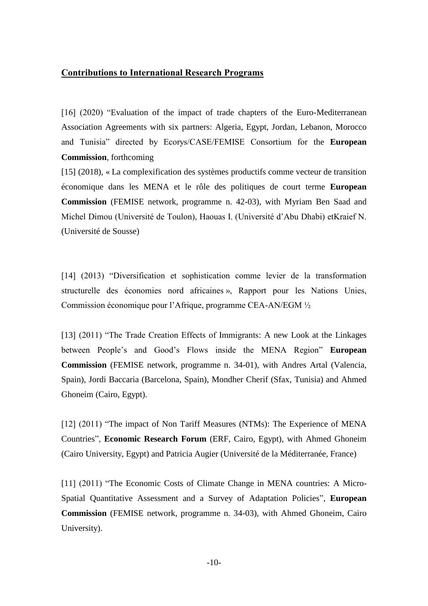### **Contributions to International Research Programs**

[16] (2020) "Evaluation of the impact of trade chapters of the Euro-Mediterranean Association Agreements with six partners: Algeria, Egypt, Jordan, Lebanon, Morocco and Tunisia" directed by Ecorys/CASE/FEMISE Consortium for the **European Commission**, forthcoming

[15] (2018), « La complexification des systèmes productifs comme vecteur de transition économique dans les MENA et le rôle des politiques de court terme **European Commission** (FEMISE network, programme n. 42-03), with Myriam Ben Saad and Michel Dimou (Université de Toulon), Haouas I. (Université d'Abu Dhabi) etKraief N. (Université de Sousse)

[14] (2013) "Diversification et sophistication comme levier de la transformation structurelle des économies nord africaines », Rapport pour les Nations Unies, Commission économique pour l'Afrique, programme CEA-AN/EGM ½

[13] (2011) "The Trade Creation Effects of Immigrants: A new Look at the Linkages between People's and Good's Flows inside the MENA Region" **European Commission** (FEMISE network, programme n. 34-01), with Andres Artal (Valencia, Spain), Jordi Baccaria (Barcelona, Spain), Mondher Cherif (Sfax, Tunisia) and Ahmed Ghoneim (Cairo, Egypt).

[12] (2011) "The impact of Non Tariff Measures (NTMs): The Experience of MENA Countries", **Economic Research Forum** (ERF, Cairo, Egypt), with Ahmed Ghoneim (Cairo University, Egypt) and Patricia Augier (Université de la Méditerranée, France)

[11] (2011) "The Economic Costs of Climate Change in MENA countries: A Micro-Spatial Quantitative Assessment and a Survey of Adaptation Policies", **European Commission** (FEMISE network, programme n. 34-03), with Ahmed Ghoneim, Cairo University).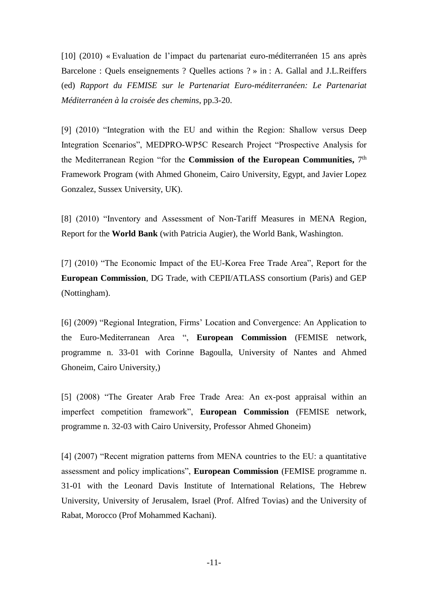[10] (2010) « Evaluation de l'impact du partenariat euro-méditerranéen 15 ans après Barcelone : Quels enseignements ? Quelles actions ? » in : A. Gallal and J.L.Reiffers (ed) *Rapport du FEMISE sur le Partenariat Euro-méditerranéen: Le Partenariat Méditerranéen à la croisée des chemins*, pp.3-20.

[9] (2010) "Integration with the EU and within the Region: Shallow versus Deep Integration Scenarios", MEDPRO-WP5C Research Project "Prospective Analysis for the Mediterranean Region "for the **Commission of the European Communities,** 7 th Framework Program (with Ahmed Ghoneim, Cairo University, Egypt, and Javier Lopez Gonzalez, Sussex University, UK).

[8] (2010) "Inventory and Assessment of Non-Tariff Measures in MENA Region, Report for the **World Bank** (with Patricia Augier), the World Bank, Washington.

[7] (2010) "The Economic Impact of the EU-Korea Free Trade Area", Report for the **European Commission**, DG Trade, with CEPII/ATLASS consortium (Paris) and GEP (Nottingham).

[6] (2009) "Regional Integration, Firms' Location and Convergence: An Application to the Euro-Mediterranean Area ", **European Commission** (FEMISE network, programme n. 33-01 with Corinne Bagoulla, University of Nantes and Ahmed Ghoneim, Cairo University,)

[5] (2008) "The Greater Arab Free Trade Area: An ex-post appraisal within an imperfect competition framework", **European Commission** (FEMISE network, programme n. 32-03 with Cairo University, Professor Ahmed Ghoneim)

[4] (2007) "Recent migration patterns from MENA countries to the EU: a quantitative assessment and policy implications", **European Commission** (FEMISE programme n. 31-01 with the Leonard Davis Institute of International Relations, The Hebrew University, University of Jerusalem, Israel (Prof. Alfred Tovias) and the University of Rabat, Morocco (Prof Mohammed Kachani).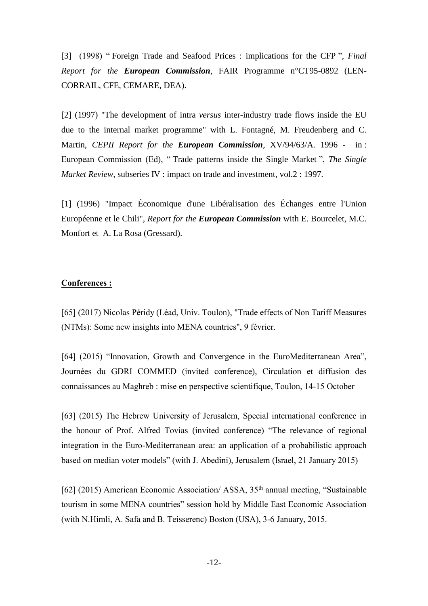[3] (1998) " Foreign Trade and Seafood Prices : implications for the CFP "*, Final Report for the European Commission*, FAIR Programme n°CT95-0892 (LEN-CORRAIL, CFE, CEMARE, DEA).

[2] (1997) "The development of intra *versus* inter-industry trade flows inside the EU due to the internal market programme" with L. Fontagné, M. Freudenberg and C. Martin, *CEPII Report for the European Commission*, XV/94/63/A. 1996 - in : European Commission (Ed), " Trade patterns inside the Single Market ", *The Single Market Review*, subseries IV : impact on trade and investment, vol.2 : 1997.

[1] (1996) "Impact Économique d'une Libéralisation des Échanges entre l'Union Européenne et le Chili", *Report for the European Commission* with E. Bourcelet, M.C. Monfort et A. La Rosa (Gressard).

#### **Conferences :**

[65] (2017) Nicolas Péridy (Léad, Univ. Toulon), "Trade effects of Non Tariff Measures (NTMs): Some new insights into MENA countries", 9 février.

[64] (2015) "Innovation, Growth and Convergence in the EuroMediterranean Area", Journées du GDRI COMMED (invited conference), Circulation et diffusion des connaissances au Maghreb : mise en perspective scientifique, Toulon, 14-15 October

[63] (2015) The Hebrew University of Jerusalem, Special international conference in the honour of Prof. Alfred Tovias (invited conference) "The relevance of regional integration in the Euro-Mediterranean area: an application of a probabilistic approach based on median voter models" (with J. Abedini), Jerusalem (Israel, 21 January 2015)

[62] (2015) American Economic Association/ ASSA, 35<sup>th</sup> annual meeting, "Sustainable tourism in some MENA countries" session hold by Middle East Economic Association (with N.Himli, A. Safa and B. Teisserenc) Boston (USA), 3-6 January, 2015.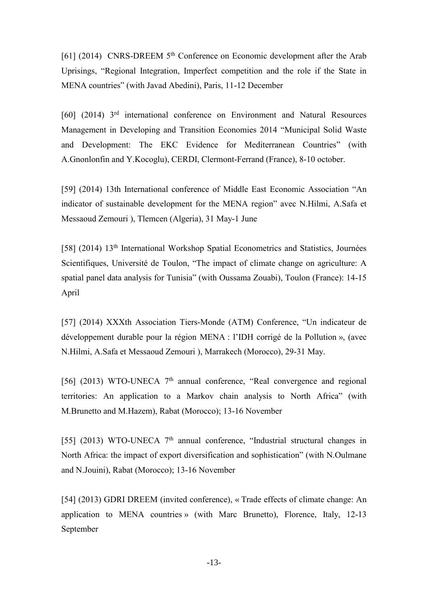[61] (2014) CNRS-DREEM  $5<sup>th</sup>$  Conference on Economic development after the Arab Uprisings, "Regional Integration, Imperfect competition and the role if the State in MENA countries" (with Javad Abedini), Paris, 11-12 December

[60] (2014) 3rd international conference on Environment and Natural Resources Management in Developing and Transition Economies 2014 "Municipal Solid Waste and Development: The EKC Evidence for Mediterranean Countries" (with A.Gnonlonfin and Y.Kocoglu), CERDI, Clermont-Ferrand (France), 8-10 october.

[59] (2014) 13th International conference of Middle East Economic Association "An indicator of sustainable development for the MENA region" avec N.Hilmi, A.Safa et Messaoud Zemouri ), Tlemcen (Algeria), 31 May-1 June

[58] (2014) 13th International Workshop Spatial Econometrics and Statistics, Journées Scientifiques, Université de Toulon, "The impact of climate change on agriculture: A spatial panel data analysis for Tunisia" (with Oussama Zouabi), Toulon (France): 14-15 April

[57] (2014) XXXth Association Tiers-Monde (ATM) Conference, "Un indicateur de développement durable pour la région MENA : l'IDH corrigé de la Pollution », (avec N.Hilmi, A.Safa et Messaoud Zemouri ), Marrakech (Morocco), 29-31 May.

[56] (2013) WTO-UNECA  $7<sup>th</sup>$  annual conference, "Real convergence and regional territories: An application to a Markov chain analysis to North Africa" (with M.Brunetto and M.Hazem), Rabat (Morocco); 13-16 November

[55] (2013) WTO-UNECA  $7<sup>th</sup>$  annual conference, "Industrial structural changes in North Africa: the impact of export diversification and sophistication" (with N.Oulmane and N.Jouini), Rabat (Morocco); 13-16 November

[54] (2013) GDRI DREEM (invited conference), « Trade effects of climate change: An application to MENA countries » (with Marc Brunetto), Florence, Italy, 12-13 September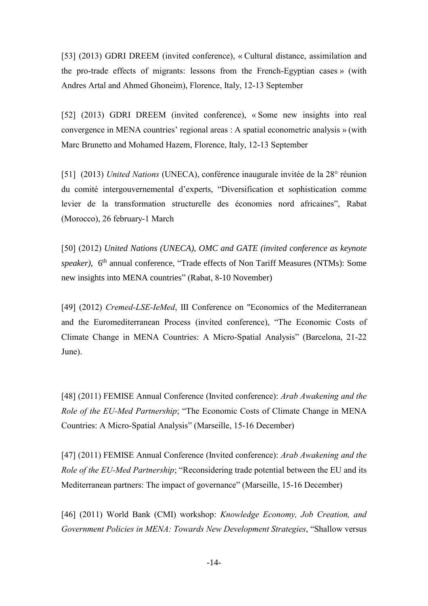[53] (2013) GDRI DREEM (invited conference), « Cultural distance, assimilation and the pro-trade effects of migrants: lessons from the French-Egyptian cases » (with Andres Artal and Ahmed Ghoneim), Florence, Italy, 12-13 September

[52] (2013) GDRI DREEM (invited conference), « Some new insights into real convergence in MENA countries' regional areas : A spatial econometric analysis » (with Marc Brunetto and Mohamed Hazem, Florence, Italy, 12-13 September

[51] (2013) *United Nations* (UNECA), conférence inaugurale invitée de la 28° réunion du comité intergouvernemental d'experts, "Diversification et sophistication comme levier de la transformation structurelle des économies nord africaines", Rabat (Morocco), 26 february-1 March

[50] (2012) *United Nations (UNECA), OMC and GATE (invited conference as keynote*  speaker), 6<sup>th</sup> annual conference, "Trade effects of Non Tariff Measures (NTMs): Some new insights into MENA countries" (Rabat, 8-10 November)

[49] (2012) *Cremed-LSE-IeMed*, III Conference on "Economics of the Mediterranean and the Euromediterranean Process (invited conference), "The Economic Costs of Climate Change in MENA Countries: A Micro-Spatial Analysis" (Barcelona, 21-22 June).

[48] (2011) FEMISE Annual Conference (Invited conference): *Arab Awakening and the Role of the EU-Med Partnership*; "The Economic Costs of Climate Change in MENA Countries: A Micro-Spatial Analysis" (Marseille, 15-16 December)

[47] (2011) FEMISE Annual Conference (Invited conference): *Arab Awakening and the Role of the EU-Med Partnership*; "Reconsidering trade potential between the EU and its Mediterranean partners: The impact of governance" (Marseille, 15-16 December)

[46] (2011) World Bank (CMI) workshop: *Knowledge Economy, Job Creation, and Government Policies in MENA: Towards New Development Strategies*, "Shallow versus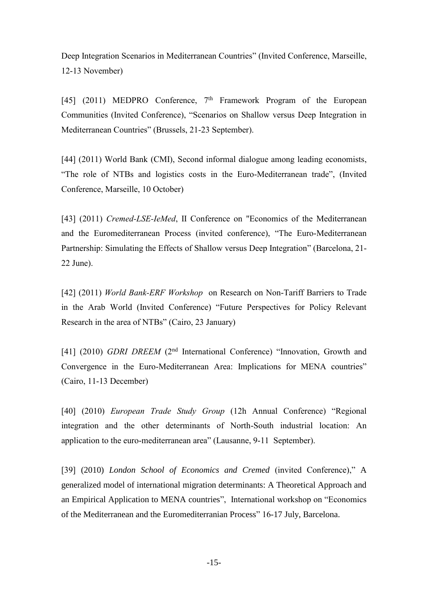Deep Integration Scenarios in Mediterranean Countries" (Invited Conference, Marseille, 12-13 November)

[45] (2011) MEDPRO Conference,  $7<sup>th</sup>$  Framework Program of the European Communities (Invited Conference), "Scenarios on Shallow versus Deep Integration in Mediterranean Countries" (Brussels, 21-23 September).

[44] (2011) World Bank (CMI), Second informal dialogue among leading economists, "The role of NTBs and logistics costs in the Euro-Mediterranean trade", (Invited Conference, Marseille, 10 October)

[43] (2011) *Cremed-LSE-IeMed*, II Conference on "Economics of the Mediterranean and the Euromediterranean Process (invited conference), "The Euro-Mediterranean Partnership: Simulating the Effects of Shallow versus Deep Integration" (Barcelona, 21- 22 June).

[42] (2011) *World Bank-ERF Workshop* on Research on Non-Tariff Barriers to Trade in the Arab World (Invited Conference) "Future Perspectives for Policy Relevant Research in the area of NTBs" (Cairo, 23 January)

[41] (2010) *GDRI DREEM* (2<sup>nd</sup> International Conference) "Innovation, Growth and Convergence in the Euro-Mediterranean Area: Implications for MENA countries" (Cairo, 11-13 December)

[40] (2010) *European Trade Study Group* (12h Annual Conference) "Regional integration and the other determinants of North-South industrial location: An application to the euro-mediterranean area" (Lausanne, 9-11 September).

[39] (2010) *London School of Economics and Cremed* (invited Conference)," A generalized model of international migration determinants: A Theoretical Approach and an Empirical Application to MENA countries", International workshop on "Economics of the Mediterranean and the Euromediterranian Process" 16-17 July, Barcelona.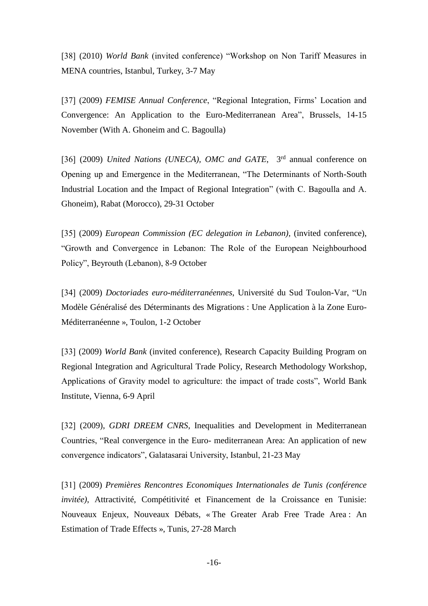[38] (2010) *World Bank* (invited conference) "Workshop on Non Tariff Measures in MENA countries, Istanbul, Turkey, 3-7 May

[37] (2009) *FEMISE Annual Conference*, "Regional Integration, Firms' Location and Convergence: An Application to the Euro-Mediterranean Area", Brussels, 14-15 November (With A. Ghoneim and C. Bagoulla)

[36] (2009) *United Nations (UNECA), OMC and GATE*, <sup>3rd</sup> annual conference on Opening up and Emergence in the Mediterranean, "The Determinants of North-South Industrial Location and the Impact of Regional Integration" (with C. Bagoulla and A. Ghoneim), Rabat (Morocco), 29-31 October

[35] (2009) *European Commission (EC delegation in Lebanon),* (invited conference), "Growth and Convergence in Lebanon: The Role of the European Neighbourhood Policy", Beyrouth (Lebanon), 8-9 October

[34] (2009) *Doctoriades euro-méditerranéennes*, Université du Sud Toulon-Var, "Un Modèle Généralisé des Déterminants des Migrations : Une Application à la Zone Euro-Méditerranéenne », Toulon, 1-2 October

[33] (2009) *World Bank* (invited conference), Research Capacity Building Program on Regional Integration and Agricultural Trade Policy, Research Methodology Workshop, Applications of Gravity model to agriculture: the impact of trade costs", World Bank Institute, Vienna, 6-9 April

[32] (2009), *GDRI DREEM CNRS*, Inequalities and Development in Mediterranean Countries, "Real convergence in the Euro- mediterranean Area: An application of new convergence indicators", Galatasarai University, Istanbul, 21-23 May

[31] (2009) *Premières Rencontres Economiques Internationales de Tunis (conférence invitée)*, Attractivité, Compétitivité et Financement de la Croissance en Tunisie: Nouveaux Enjeux, Nouveaux Débats, « The Greater Arab Free Trade Area : An Estimation of Trade Effects », Tunis, 27-28 March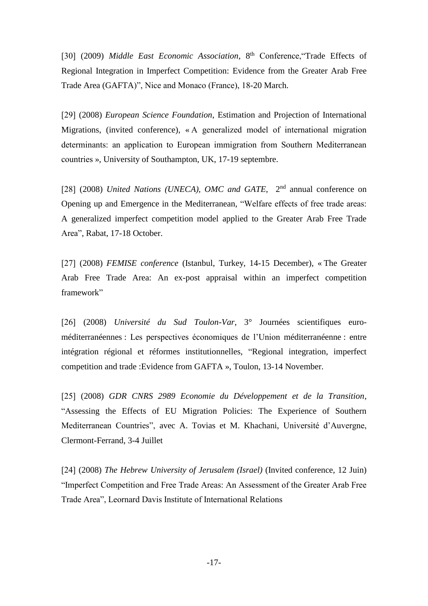[30] (2009) *Middle East Economic Association*, 8<sup>th</sup> Conference, Trade Effects of Regional Integration in Imperfect Competition: Evidence from the Greater Arab Free Trade Area (GAFTA)", Nice and Monaco (France), 18-20 March.

[29] (2008) *European Science Foundation*, Estimation and Projection of International Migrations, (invited conference), « A generalized model of international migration determinants: an application to European immigration from Southern Mediterranean countries », University of Southampton, UK, 17-19 septembre.

[28] (2008) *United Nations* (*UNECA*), *OMC and GATE*, <sup>2nd</sup> annual conference on Opening up and Emergence in the Mediterranean, "Welfare effects of free trade areas: A generalized imperfect competition model applied to the Greater Arab Free Trade Area", Rabat, 17-18 October.

[27] (2008) *FEMISE conference* (Istanbul, Turkey, 14-15 December), « The Greater Arab Free Trade Area: An ex-post appraisal within an imperfect competition framework"

[26] (2008) *Université du Sud Toulon-Var*, 3° Journées scientifiques euroméditerranéennes : Les perspectives économiques de l'Union méditerranéenne : entre intégration régional et réformes institutionnelles, "Regional integration, imperfect competition and trade :Evidence from GAFTA », Toulon, 13-14 November.

[25] (2008) *GDR CNRS 2989 Economie du Développement et de la Transition*, "Assessing the Effects of EU Migration Policies: The Experience of Southern Mediterranean Countries", avec A. Tovias et M. Khachani, Université d'Auvergne, Clermont-Ferrand, 3-4 Juillet

[24] (2008) *The Hebrew University of Jerusalem (Israel)* (Invited conference, 12 Juin) "Imperfect Competition and Free Trade Areas: An Assessment of the Greater Arab Free Trade Area", Leornard Davis Institute of International Relations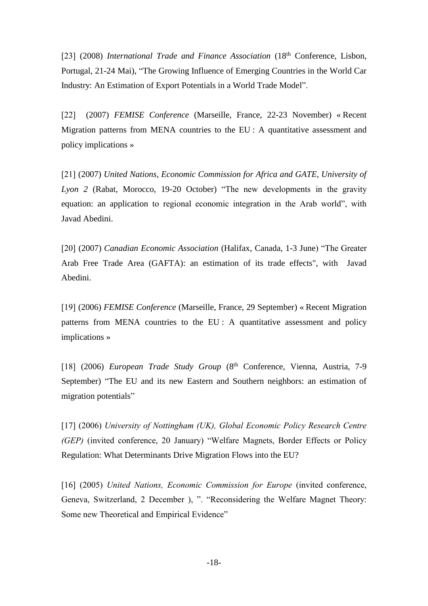[23] (2008) *International Trade and Finance Association* (18<sup>th</sup> Conference, Lisbon, Portugal, 21-24 Mai), "The Growing Influence of Emerging Countries in the World Car Industry: An Estimation of Export Potentials in a World Trade Model".

[22] (2007) *FEMISE Conference* (Marseille, France, 22-23 November) « Recent Migration patterns from MENA countries to the EU : A quantitative assessment and policy implications »

[21] (2007) *United Nations, Economic Commission for Africa and GATE, University of Lyon 2* (Rabat, Morocco, 19-20 October) "The new developments in the gravity equation: an application to regional economic integration in the Arab world", with Javad Abedini.

[20] (2007) *Canadian Economic Association* (Halifax, Canada, 1-3 June) "The Greater Arab Free Trade Area (GAFTA): an estimation of its trade effects", with Javad Abedini.

[19] (2006) *FEMISE Conference* (Marseille, France, 29 September) « Recent Migration patterns from MENA countries to the EU : A quantitative assessment and policy implications »

[18] (2006) *European Trade Study Group* (8<sup>th</sup> Conference, Vienna, Austria, 7-9 September) "The EU and its new Eastern and Southern neighbors: an estimation of migration potentials"

[17] (2006) *University of Nottingham (UK), Global Economic Policy Research Centre (GEP)* (invited conference, 20 January) "Welfare Magnets, Border Effects or Policy Regulation: What Determinants Drive Migration Flows into the EU?

[16] (2005) *United Nations, Economic Commission for Europe* (invited conference, Geneva, Switzerland, 2 December ), ". "Reconsidering the Welfare Magnet Theory: Some new Theoretical and Empirical Evidence"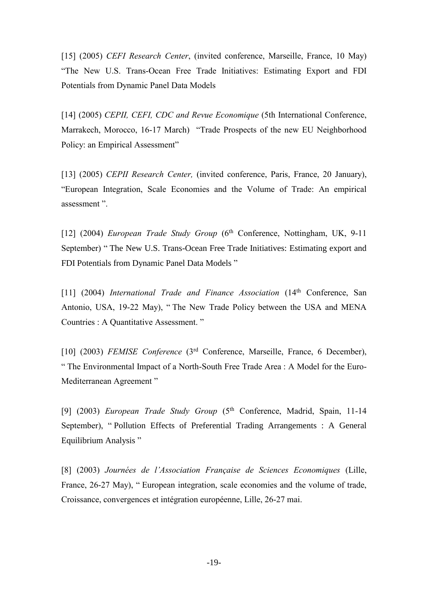[15] (2005) *CEFI Research Center*, (invited conference, Marseille, France, 10 May) "The New U.S. Trans-Ocean Free Trade Initiatives: Estimating Export and FDI Potentials from Dynamic Panel Data Models

[14] (2005) *CEPII, CEFI, CDC and Revue Economique* (5th International Conference, Marrakech, Morocco, 16-17 March) "Trade Prospects of the new EU Neighborhood Policy: an Empirical Assessment"

[13] (2005) *CEPII Research Center,* (invited conference, Paris, France, 20 January), "European Integration, Scale Economies and the Volume of Trade: An empirical assessment ".

[12] (2004) *European Trade Study Group* (6th Conference, Nottingham, UK, 9-11 September) " The New U.S. Trans-Ocean Free Trade Initiatives: Estimating export and FDI Potentials from Dynamic Panel Data Models "

[11] (2004) *International Trade and Finance Association* (14th Conference, San Antonio, USA, 19-22 May), " The New Trade Policy between the USA and MENA Countries : A Quantitative Assessment. "

[10] (2003) *FEMISE Conference* (3rd Conference, Marseille, France, 6 December), " The Environmental Impact of a North-South Free Trade Area : A Model for the Euro-Mediterranean Agreement "

[9] (2003) *European Trade Study Group* (5th Conference, Madrid, Spain, 11-14 September), " Pollution Effects of Preferential Trading Arrangements : A General Equilibrium Analysis "

[8] (2003) *Journées de l'Association Française de Sciences Economiques* (Lille, France, 26-27 May), " European integration, scale economies and the volume of trade, Croissance, convergences et intégration européenne, Lille, 26-27 mai.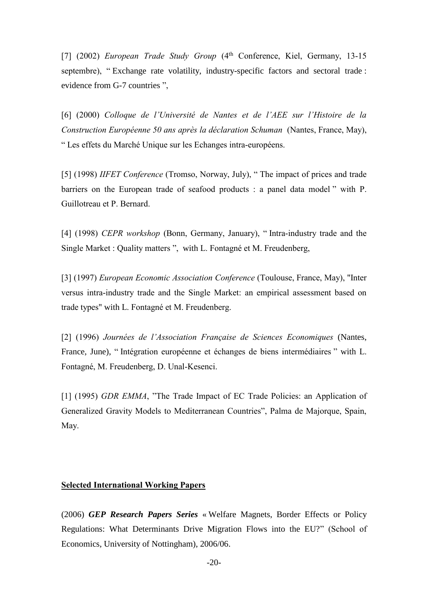[7] (2002) *European Trade Study Group* (4<sup>th</sup> Conference, Kiel, Germany, 13-15 septembre), " Exchange rate volatility, industry-specific factors and sectoral trade : evidence from G-7 countries ",

[6] (2000) *Colloque de l'Université de Nantes et de l'AEE sur l'Histoire de la Construction Européenne 50 ans après la déclaration Schuman* (Nantes, France, May), " Les effets du Marché Unique sur les Echanges intra-européens.

[5] (1998) *IIFET Conference* (Tromso, Norway, July), " The impact of prices and trade barriers on the European trade of seafood products : a panel data model " with P. Guillotreau et P. Bernard.

[4] (1998) *CEPR workshop* (Bonn, Germany, January), " Intra-industry trade and the Single Market : Quality matters ", with L. Fontagné et M. Freudenberg,

[3] (1997) *European Economic Association Conference* (Toulouse, France, May), "Inter versus intra-industry trade and the Single Market: an empirical assessment based on trade types" with L. Fontagné et M. Freudenberg.

[2] (1996) *Journées de l'Association Française de Sciences Economiques* (Nantes, France, June), " Intégration européenne et échanges de biens intermédiaires " with L. Fontagné, M. Freudenberg, D. Unal-Kesenci.

[1] (1995) *GDR EMMA*, "The Trade Impact of EC Trade Policies: an Application of Generalized Gravity Models to Mediterranean Countries", Palma de Majorque, Spain, May.

#### **Selected International Working Papers**

(2006) *GEP Research Papers Series* « Welfare Magnets, Border Effects or Policy Regulations: What Determinants Drive Migration Flows into the EU?" (School of Economics, University of Nottingham), 2006/06.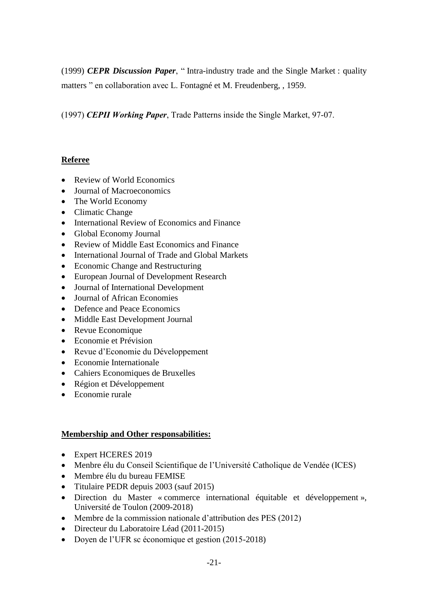(1999) *CEPR Discussion Paper*, " Intra-industry trade and the Single Market : quality matters " en collaboration avec L. Fontagné et M. Freudenberg, , 1959.

(1997) *CEPII Working Paper*, Trade Patterns inside the Single Market, 97-07.

## **Referee**

- Review of World Economics
- Journal of Macroeconomics
- The World Economy
- Climatic Change
- International Review of Economics and Finance
- Global Economy Journal
- Review of Middle East Economics and Finance
- International Journal of Trade and Global Markets
- Economic Change and Restructuring
- European Journal of Development Research
- Journal of International Development
- Journal of African Economies
- Defence and Peace Economics
- Middle East Development Journal
- Revue Economique
- Economie et Prévision
- Revue d'Economie du Développement
- Economie Internationale
- Cahiers Economiques de Bruxelles
- Région et Développement
- Economie rurale

### **Membership and Other responsabilities:**

- Expert HCERES 2019
- Menbre élu du Conseil Scientifique de l'Université Catholique de Vendée (ICES)
- Membre élu du bureau FEMISE
- Titulaire PEDR depuis 2003 (sauf 2015)
- Direction du Master « commerce international équitable et développement », Université de Toulon (2009-2018)
- Membre de la commission nationale d'attribution des PES (2012)
- Directeur du Laboratoire Léad (2011-2015)
- Doyen de l'UFR sc économique et gestion (2015-2018)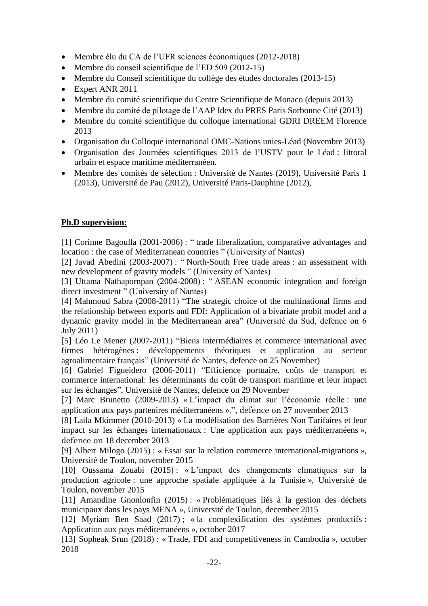- Membre élu du CA de l'UFR sciences économiques (2012-2018)
- Membre du conseil scientifique de l'ED 509 (2012-15)
- Membre du Conseil scientifique du collège des études doctorales (2013-15)
- Expert ANR 2011
- Membre du comité scientifique du Centre Scientifique de Monaco (depuis 2013)
- Membre du comité de pilotage de l'AAP Idex du PRES Paris Sorbonne Cité (2013)
- Membre du comité scientifique du colloque international GDRI DREEM Florence 2013
- Organisation du Colloque international OMC-Nations unies-Léad (Novembre 2013)
- Organisation des Journées scientifiques 2013 de l'USTV pour le Léad : littoral urbain et espace maritime méditerranéen.
- Membre des comités de sélection : Université de Nantes (2019), Université Paris 1 (2013), Université de Pau (2012), Université Paris-Dauphine (2012),

### **Ph.D supervision:**

[1] Corinne Bagoulla (2001-2006) : " trade liberalization, comparative advantages and location : the case of Mediterranean countries " (University of Nantes)

[2] Javad Abedini (2003-2007) : " North-South Free trade areas : an assessment with new development of gravity models " (University of Nantes)

[3] Uttama Nathapornpan (2004-2008) : " ASEAN economic integration and foreign direct investment " (University of Nantes)

[4] Mahmoud Sabra (2008-2011) "The strategic choice of the multinational firms and the relationship between exports and FDI: Application of a bivariate probit model and a dynamic gravity model in the Mediterranean area" (Université du Sud, defence on 6 July 2011)

[5] Léo Le Mener (2007-2011) "Biens intermédiaires et commerce international avec firmes hétérogènes : développements théoriques et application au secteur agroalimentaire français" (Université de Nantes, defence on 25 November)

[6] Gabriel Figueidero (2006-2011) "Efficience portuaire, coûts de transport et commerce international: les déterminants du coût de transport maritime et leur impact sur les échanges", Université de Nantes, defence on 29 November

[7] Marc Brunetto (2009-2013) « L'impact du climat sur l'économie réelle : une application aux pays partenires méditerranéens ».", defence on 27 november 2013

[8] Laila Mkimmer (2010-2013) « La modélisation des Barrières Non Tarifaires et leur impact sur les échanges internationaux : Une application aux pays méditerranéens », defence on 18 december 2013

[9] Albert Milogo (2015) : « Essai sur la relation commerce international-migrations », Université de Toulon, november 2015

[10] Oussama Zouabi (2015) : « L'impact des changements climatiques sur la production agricole : une approche spatiale appliquée à la Tunisie », Université de Toulon, november 2015

[11] Amandine Gnonlonfin (2015) : « Problématiques liés à la gestion des déchets municipaux dans les pays MENA », Université de Toulon, december 2015

[12] Myriam Ben Saad (2017) ; « la complexification des systèmes productifs : Application aux pays méditerranéens », october 2017

[13] Sopheak Srun (2018) : « Trade, FDI and competitiveness in Cambodia », october 2018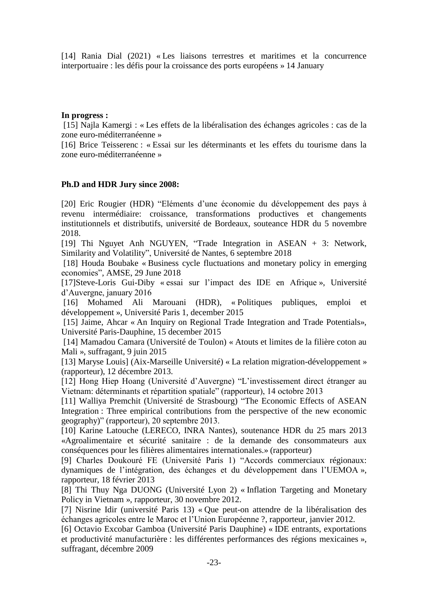[14] Rania Dial (2021) « Les liaisons terrestres et maritimes et la concurrence interportuaire : les défis pour la croissance des ports européens » 14 January

#### **In progress :**

[15] Najla Kamergi : « Les effets de la libéralisation des échanges agricoles : cas de la zone euro-méditerranéenne »

[16] Brice Teisserenc : « Essai sur les déterminants et les effets du tourisme dans la zone euro-méditerranéenne »

#### **Ph.D and HDR Jury since 2008:**

[20] Eric Rougier (HDR) "Eléments d'une économie du développement des pays à revenu intermédiaire: croissance, transformations productives et changements institutionnels et distributifs, université de Bordeaux, souteance HDR du 5 novembre 2018.

[19] Thi Nguyet Anh NGUYEN, "Trade Integration in ASEAN + 3: Network, Similarity and Volatility", Université de Nantes, 6 septembre 2018

[18] Houda Boubake « Business cycle fluctuations and monetary policy in emerging economies", AMSE, 29 June 2018

[17]Steve-Loris Gui-Diby « essai sur l'impact des IDE en Afrique », Université d'Auvergne, january 2016

[16] Mohamed Ali Marouani (HDR), « Politiques publiques, emploi et développement », Université Paris 1, december 2015

[15] Jaime, Ahcar « An Inquiry on Regional Trade Integration and Trade Potentials», Université Paris-Dauphine, 15 december 2015

[14] Mamadou Camara (Université de Toulon) « Atouts et limites de la filière coton au Mali », suffragant, 9 juin 2015

[13] Maryse Louis] (Aix-Marseille Université) « La relation migration-développement » (rapporteur), 12 décembre 2013.

[12] Hong Hiep Hoang (Université d'Auvergne) "L'investissement direct étranger au Vietnam: déterminants et répartition spatiale" (rapporteur), 14 octobre 2013

[11] Walliya Premchit (Université de Strasbourg) "The Economic Effects of ASEAN Integration : Three empirical contributions from the perspective of the new economic geography)" (rapporteur), 20 septembre 2013.

[10] Karine Latouche (LERECO, INRA Nantes), soutenance HDR du 25 mars 2013 «Agroalimentaire et sécurité sanitaire : de la demande des consommateurs aux conséquences pour les filières alimentaires internationales.» (rapporteur)

[9] Charles Doukouré FE (Université Paris 1) "Accords commerciaux régionaux: dynamiques de l'intégration, des échanges et du développement dans l'UEMOA », rapporteur, 18 février 2013

[8] Thi Thuy Nga DUONG (Université Lyon 2) « Inflation Targeting and Monetary Policy in Vietnam », rapporteur, 30 novembre 2012.

[7] Nisrine Idir (université Paris 13) « Que peut-on attendre de la libéralisation des échanges agricoles entre le Maroc et l'Union Européenne ?, rapporteur, janvier 2012.

[6] Octavio Excobar Gamboa (Université Paris Dauphine) « IDE entrants, exportations et productivité manufacturière : les différentes performances des régions mexicaines », suffragant, décembre 2009